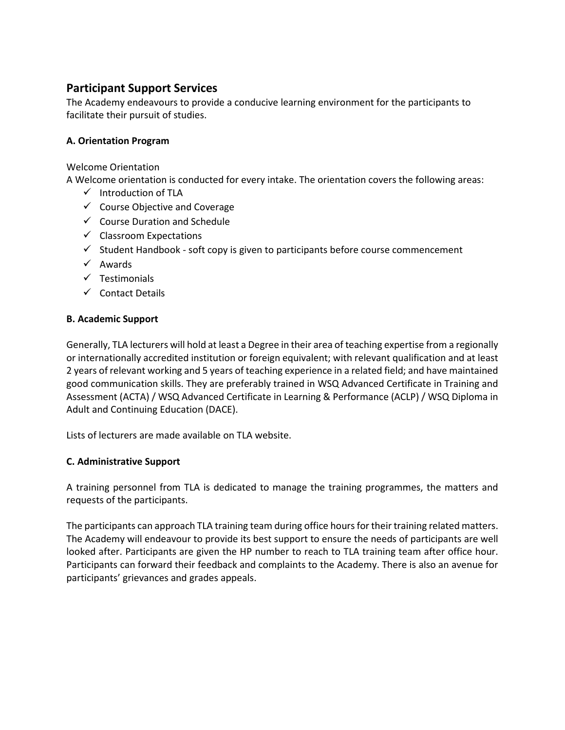# **Participant Support Services**

The Academy endeavours to provide a conducive learning environment for the participants to facilitate their pursuit of studies.

# **A. Orientation Program**

Welcome Orientation

A Welcome orientation is conducted for every intake. The orientation covers the following areas:

- $\checkmark$  Introduction of TLA
- $\checkmark$  Course Objective and Coverage
- $\checkmark$  Course Duration and Schedule
- $\checkmark$  Classroom Expectations
- $\checkmark$  Student Handbook soft copy is given to participants before course commencement
- $\checkmark$  Awards
- $\checkmark$  Testimonials
- $\checkmark$  Contact Details

## **B. Academic Support**

Generally, TLA lecturers will hold at least a Degree in their area of teaching expertise from a regionally or internationally accredited institution or foreign equivalent; with relevant qualification and at least 2 years of relevant working and 5 years of teaching experience in a related field; and have maintained good communication skills. They are preferably trained in WSQ Advanced Certificate in Training and Assessment (ACTA) / WSQ Advanced Certificate in Learning & Performance (ACLP) / WSQ Diploma in Adult and Continuing Education (DACE).

Lists of lecturers are made available on TLA website.

## **C. Administrative Support**

A training personnel from TLA is dedicated to manage the training programmes, the matters and requests of the participants.

The participants can approach TLA training team during office hours for their training related matters. The Academy will endeavour to provide its best support to ensure the needs of participants are well looked after. Participants are given the HP number to reach to TLA training team after office hour. Participants can forward their feedback and complaints to the Academy. There is also an avenue for participants' grievances and grades appeals.